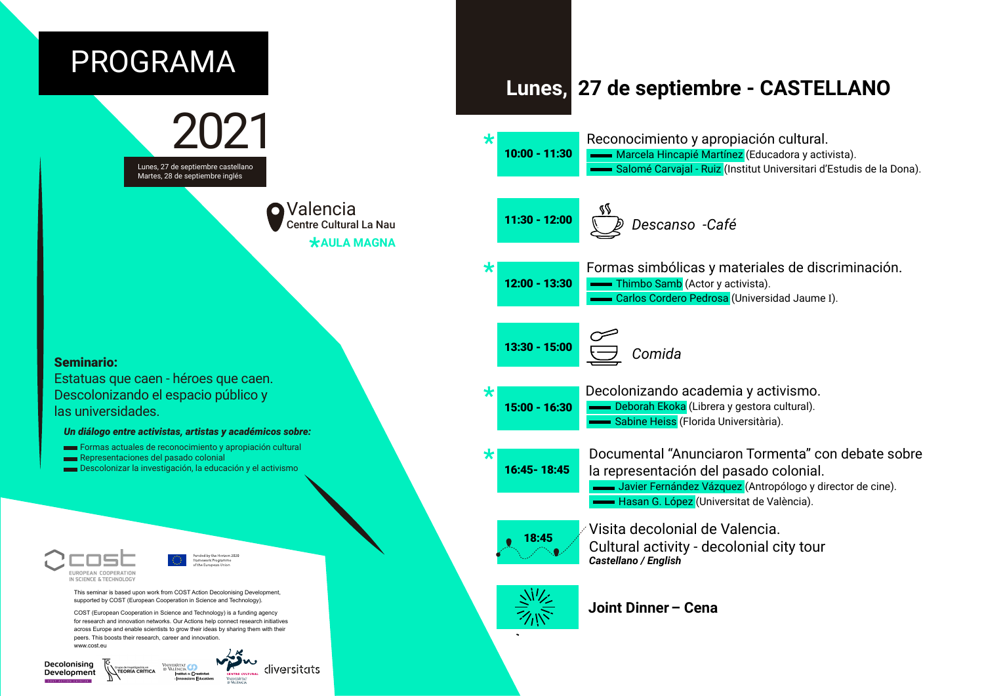

Decolonising diversitats Grupo de Investigación en<br>VITEORÍA CRÍTICA Development